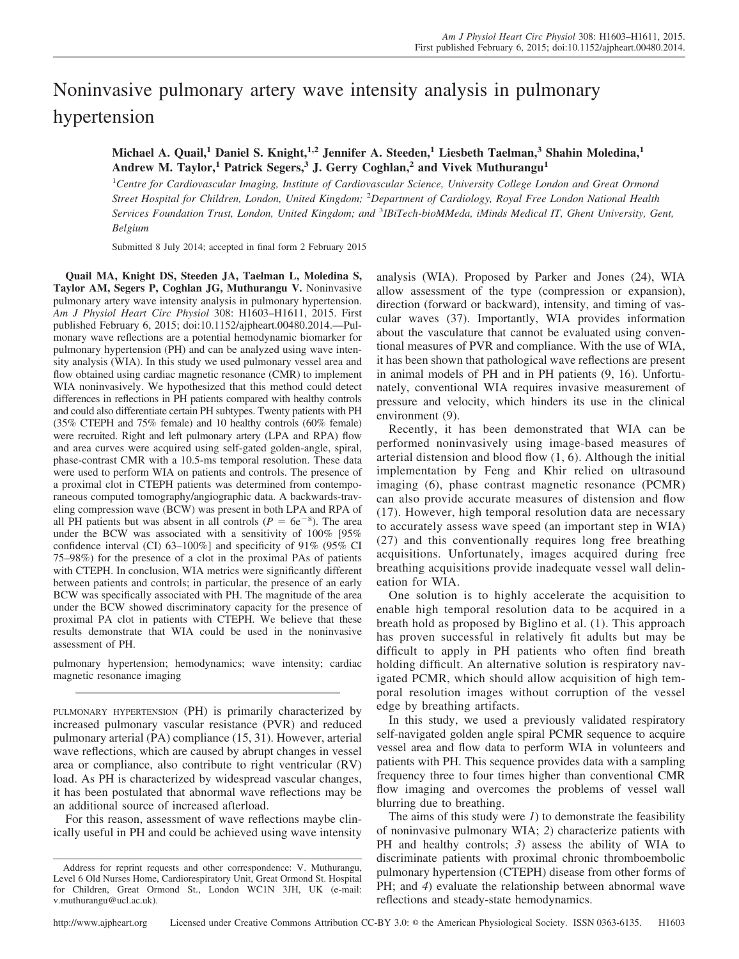# Noninvasive pulmonary artery wave intensity analysis in pulmonary hypertension

# **Michael A. Quail,<sup>1</sup> Daniel S. Knight,1,2 Jennifer A. Steeden,<sup>1</sup> Liesbeth Taelman,<sup>3</sup> Shahin Moledina,<sup>1</sup> Andrew M. Taylor,<sup>1</sup> Patrick Segers,<sup>3</sup> J. Gerry Coghlan,<sup>2</sup> and Vivek Muthurangu<sup>1</sup>**

1 *Centre for Cardiovascular Imaging, Institute of Cardiovascular Science, University College London and Great Ormond Street Hospital for Children, London, United Kingdom;* <sup>2</sup> *Department of Cardiology, Royal Free London National Health* Services Foundation Trust, London, United Kingdom; and <sup>3</sup>IBiTech-bioMMeda, iMinds Medical IT, Ghent University, Gent, *Belgium*

Submitted 8 July 2014; accepted in final form 2 February 2015

**Quail MA, Knight DS, Steeden JA, Taelman L, Moledina S, Taylor AM, Segers P, Coghlan JG, Muthurangu V.** Noninvasive pulmonary artery wave intensity analysis in pulmonary hypertension. *Am J Physiol Heart Circ Physiol* 308: H1603–H1611, 2015. First published February 6, 2015; doi:10.1152/ajpheart.00480.2014.—Pulmonary wave reflections are a potential hemodynamic biomarker for pulmonary hypertension (PH) and can be analyzed using wave intensity analysis (WIA). In this study we used pulmonary vessel area and flow obtained using cardiac magnetic resonance (CMR) to implement WIA noninvasively. We hypothesized that this method could detect differences in reflections in PH patients compared with healthy controls and could also differentiate certain PH subtypes. Twenty patients with PH (35% CTEPH and 75% female) and 10 healthy controls (60% female) were recruited. Right and left pulmonary artery (LPA and RPA) flow and area curves were acquired using self-gated golden-angle, spiral, phase-contrast CMR with a 10.5-ms temporal resolution. These data were used to perform WIA on patients and controls. The presence of a proximal clot in CTEPH patients was determined from contemporaneous computed tomography/angiographic data. A backwards-traveling compression wave (BCW) was present in both LPA and RPA of all PH patients but was absent in all controls ( $P = 6e^{-8}$ ). The area under the BCW was associated with a sensitivity of 100% [95% confidence interval (CI) 63–100%] and specificity of 91% (95% CI 75–98%) for the presence of a clot in the proximal PAs of patients with CTEPH. In conclusion, WIA metrics were significantly different between patients and controls; in particular, the presence of an early BCW was specifically associated with PH. The magnitude of the area under the BCW showed discriminatory capacity for the presence of proximal PA clot in patients with CTEPH. We believe that these results demonstrate that WIA could be used in the noninvasive assessment of PH.

pulmonary hypertension; hemodynamics; wave intensity; cardiac magnetic resonance imaging

PULMONARY HYPERTENSION (PH) is primarily characterized by increased pulmonary vascular resistance (PVR) and reduced pulmonary arterial (PA) compliance (15, 31). However, arterial wave reflections, which are caused by abrupt changes in vessel area or compliance, also contribute to right ventricular (RV) load. As PH is characterized by widespread vascular changes, it has been postulated that abnormal wave reflections may be an additional source of increased afterload.

For this reason, assessment of wave reflections maybe clinically useful in PH and could be achieved using wave intensity analysis (WIA). Proposed by Parker and Jones (24), WIA allow assessment of the type (compression or expansion), direction (forward or backward), intensity, and timing of vascular waves (37). Importantly, WIA provides information about the vasculature that cannot be evaluated using conventional measures of PVR and compliance. With the use of WIA, it has been shown that pathological wave reflections are present in animal models of PH and in PH patients (9, 16). Unfortunately, conventional WIA requires invasive measurement of pressure and velocity, which hinders its use in the clinical environment (9).

Recently, it has been demonstrated that WIA can be performed noninvasively using image-based measures of arterial distension and blood flow (1, 6). Although the initial implementation by Feng and Khir relied on ultrasound imaging (6), phase contrast magnetic resonance (PCMR) can also provide accurate measures of distension and flow (17). However, high temporal resolution data are necessary to accurately assess wave speed (an important step in WIA) (27) and this conventionally requires long free breathing acquisitions. Unfortunately, images acquired during free breathing acquisitions provide inadequate vessel wall delineation for WIA.

One solution is to highly accelerate the acquisition to enable high temporal resolution data to be acquired in a breath hold as proposed by Biglino et al. (1). This approach has proven successful in relatively fit adults but may be difficult to apply in PH patients who often find breath holding difficult. An alternative solution is respiratory navigated PCMR, which should allow acquisition of high temporal resolution images without corruption of the vessel edge by breathing artifacts.

In this study, we used a previously validated respiratory self-navigated golden angle spiral PCMR sequence to acquire vessel area and flow data to perform WIA in volunteers and patients with PH. This sequence provides data with a sampling frequency three to four times higher than conventional CMR flow imaging and overcomes the problems of vessel wall blurring due to breathing.

The aims of this study were *1*) to demonstrate the feasibility of noninvasive pulmonary WIA; *2*) characterize patients with PH and healthy controls; *3*) assess the ability of WIA to discriminate patients with proximal chronic thromboembolic pulmonary hypertension (CTEPH) disease from other forms of PH; and *4*) evaluate the relationship between abnormal wave reflections and steady-state hemodynamics.

Address for reprint requests and other correspondence: V. Muthurangu, Level 6 Old Nurses Home, Cardiorespiratory Unit, Great Ormond St. Hospital for Children, Great Ormond St., London WC1N 3JH, UK (e-mail: [v.muthurangu@ucl.ac.uk\)](mailto:v.muthurangu@ucl.ac.uk).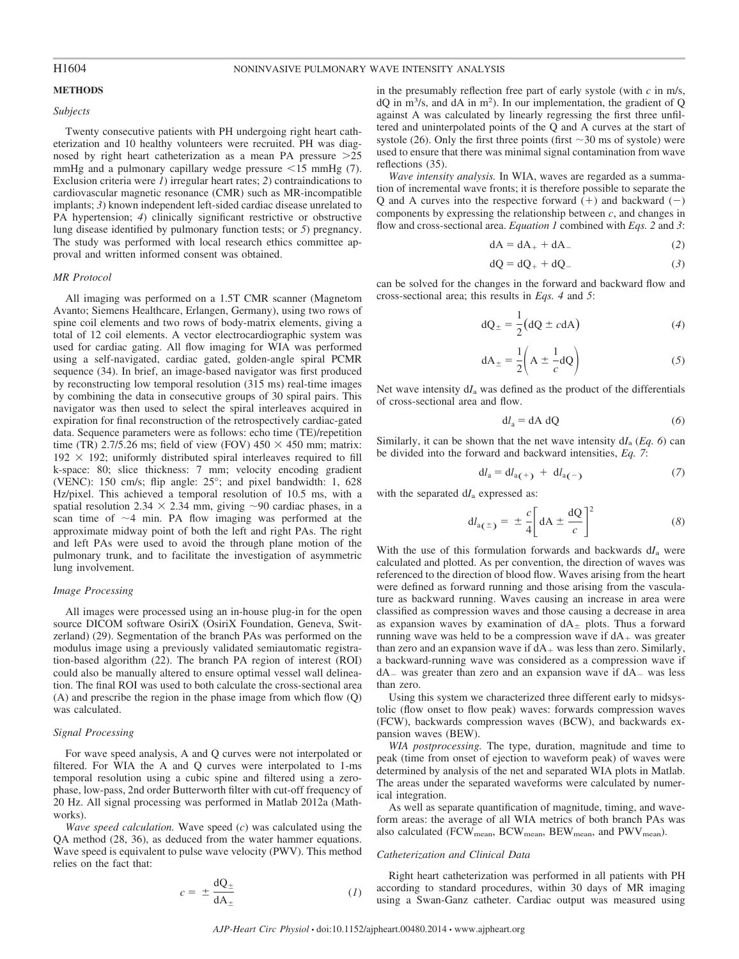# **METHODS**

# *Subjects*

Twenty consecutive patients with PH undergoing right heart catheterization and 10 healthy volunteers were recruited. PH was diagnosed by right heart catheterization as a mean PA pressure  $>25$ mmHg and a pulmonary capillary wedge pressure  $\leq 15$  mmHg (7). Exclusion criteria were *1*) irregular heart rates; *2*) contraindications to cardiovascular magnetic resonance (CMR) such as MR-incompatible implants; *3*) known independent left-sided cardiac disease unrelated to PA hypertension; *4*) clinically significant restrictive or obstructive lung disease identified by pulmonary function tests; or *5*) pregnancy. The study was performed with local research ethics committee approval and written informed consent was obtained.

#### *MR Protocol*

All imaging was performed on a 1.5T CMR scanner (Magnetom Avanto; Siemens Healthcare, Erlangen, Germany), using two rows of spine coil elements and two rows of body-matrix elements, giving a total of 12 coil elements. A vector electrocardiographic system was used for cardiac gating. All flow imaging for WIA was performed using a self-navigated, cardiac gated, golden-angle spiral PCMR sequence (34). In brief, an image-based navigator was first produced by reconstructing low temporal resolution (315 ms) real-time images by combining the data in consecutive groups of 30 spiral pairs. This navigator was then used to select the spiral interleaves acquired in expiration for final reconstruction of the retrospectively cardiac-gated data. Sequence parameters were as follows: echo time (TE)/repetition time (TR) 2.7/5.26 ms; field of view (FOV)  $450 \times 450$  mm; matrix:  $192 \times 192$ ; uniformly distributed spiral interleaves required to fill k-space: 80; slice thickness: 7 mm; velocity encoding gradient (VENC): 150 cm/s; flip angle: 25°; and pixel bandwidth: 1, 628 Hz/pixel. This achieved a temporal resolution of 10.5 ms, with a spatial resolution 2.34  $\times$  2.34 mm, giving ~90 cardiac phases, in a scan time of  $\sim$ 4 min. PA flow imaging was performed at the approximate midway point of both the left and right PAs. The right and left PAs were used to avoid the through plane motion of the pulmonary trunk, and to facilitate the investigation of asymmetric lung involvement.

# *Image Processing*

All images were processed using an in-house plug-in for the open source DICOM software OsiriX (OsiriX Foundation, Geneva, Switzerland) (29). Segmentation of the branch PAs was performed on the modulus image using a previously validated semiautomatic registration-based algorithm (22). The branch PA region of interest (ROI) could also be manually altered to ensure optimal vessel wall delineation. The final ROI was used to both calculate the cross-sectional area (A) and prescribe the region in the phase image from which flow (Q) was calculated.

#### *Signal Processing*

For wave speed analysis, A and Q curves were not interpolated or filtered. For WIA the A and Q curves were interpolated to 1-ms temporal resolution using a cubic spine and filtered using a zerophase, low-pass, 2nd order Butterworth filter with cut-off frequency of 20 Hz. All signal processing was performed in Matlab 2012a (Mathworks).

*Wave speed calculation.* Wave speed (*c*) was calculated using the QA method (28, 36), as deduced from the water hammer equations. Wave speed is equivalent to pulse wave velocity (PWV). This method relies on the fact that:

$$
c = \pm \frac{\mathrm{dQ}_{\pm}}{\mathrm{dA}_{\pm}} \tag{1}
$$

in the presumably reflection free part of early systole (with *c* in m/s, dQ in m3 /s, and dA in m2 ). In our implementation, the gradient of Q against A was calculated by linearly regressing the first three unfiltered and uninterpolated points of the Q and A curves at the start of systole (26). Only the first three points (first  $\sim$  30 ms of systole) were used to ensure that there was minimal signal contamination from wave reflections (35).

*Wave intensity analysis.* In WIA, waves are regarded as a summation of incremental wave fronts; it is therefore possible to separate the Q and A curves into the respective forward  $(+)$  and backward  $(-)$ components by expressing the relationship between *c*, and changes in flow and cross-sectional area. *Equation 1* combined with *Eqs. 2* and *3*:

$$
dA = dA_+ + dA_- \tag{2}
$$

$$
dQ = dQ_+ + dQ_- \tag{3}
$$

can be solved for the changes in the forward and backward flow and cross-sectional area; this results in *Eqs. 4* and *5*:

$$
dQ_{\pm} = \frac{1}{2} (dQ \pm cdA) \tag{4}
$$

$$
dA_{\pm} = \frac{1}{2} \left( A \pm \frac{1}{c} dQ \right) \tag{5}
$$

Net wave intensity d*I*a was defined as the product of the differentials of cross-sectional area and flow.

$$
dl_a = dA \ dQ \tag{6}
$$

Similarly, it can be shown that the net wave intensity d*I*a (*Eq. 6*) can be divided into the forward and backward intensities, *Eq. 7*:

$$
dl_a = dl_{a(+)} + dl_{a(-)}
$$
 (7)

with the separated d*I*a expressed as:

$$
dl_{a(\pm)} = \pm \frac{c}{4} \left[ dA \pm \frac{dQ}{c} \right]^2 \tag{8}
$$

With the use of this formulation forwards and backwards d*I*a were calculated and plotted. As per convention, the direction of waves was referenced to the direction of blood flow. Waves arising from the heart were defined as forward running and those arising from the vasculature as backward running. Waves causing an increase in area were classified as compression waves and those causing a decrease in area as expansion waves by examination of  $dA_{\pm}$  plots. Thus a forward running wave was held to be a compression wave if  $dA_+$  was greater than zero and an expansion wave if  $dA_+$  was less than zero. Similarly, a backward-running wave was considered as a compression wave if  $dA$  was greater than zero and an expansion wave if  $dA$  was less than zero.

Using this system we characterized three different early to midsystolic (flow onset to flow peak) waves: forwards compression waves (FCW), backwards compression waves (BCW), and backwards expansion waves (BEW).

*WIA postprocessing.* The type, duration, magnitude and time to peak (time from onset of ejection to waveform peak) of waves were determined by analysis of the net and separated WIA plots in Matlab. The areas under the separated waveforms were calculated by numerical integration.

As well as separate quantification of magnitude, timing, and waveform areas: the average of all WIA metrics of both branch PAs was also calculated (FCW<sub>mean</sub>, BCW<sub>mean</sub>, BEW<sub>mean</sub>, and PWV<sub>mean</sub>).

#### *Catheterization and Clinical Data*

Right heart catheterization was performed in all patients with PH according to standard procedures, within 30 days of MR imaging using a Swan-Ganz catheter. Cardiac output was measured using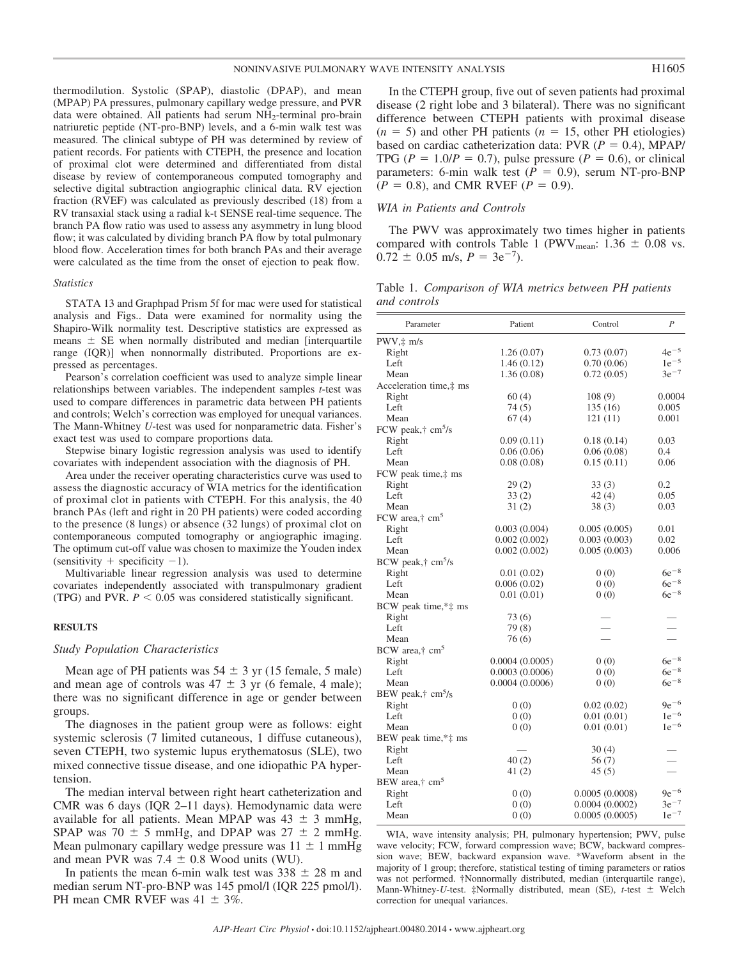thermodilution. Systolic (SPAP), diastolic (DPAP), and mean (MPAP) PA pressures, pulmonary capillary wedge pressure, and PVR data were obtained. All patients had serum NH2-terminal pro-brain natriuretic peptide (NT-pro-BNP) levels, and a 6-min walk test was measured. The clinical subtype of PH was determined by review of patient records. For patients with CTEPH, the presence and location of proximal clot were determined and differentiated from distal disease by review of contemporaneous computed tomography and selective digital subtraction angiographic clinical data. RV ejection fraction (RVEF) was calculated as previously described (18) from a RV transaxial stack using a radial k-t SENSE real-time sequence. The branch PA flow ratio was used to assess any asymmetry in lung blood flow; it was calculated by dividing branch PA flow by total pulmonary blood flow. Acceleration times for both branch PAs and their average were calculated as the time from the onset of ejection to peak flow.

#### *Statistics*

STATA 13 and Graphpad Prism 5f for mac were used for statistical analysis and Figs.. Data were examined for normality using the Shapiro-Wilk normality test. Descriptive statistics are expressed as means  $\pm$  SE when normally distributed and median [interquartile range (IQR)] when nonnormally distributed. Proportions are expressed as percentages.

Pearson's correlation coefficient was used to analyze simple linear relationships between variables. The independent samples *t*-test was used to compare differences in parametric data between PH patients and controls; Welch's correction was employed for unequal variances. The Mann-Whitney *U*-test was used for nonparametric data. Fisher's exact test was used to compare proportions data.

Stepwise binary logistic regression analysis was used to identify covariates with independent association with the diagnosis of PH.

Area under the receiver operating characteristics curve was used to assess the diagnostic accuracy of WIA metrics for the identification of proximal clot in patients with CTEPH. For this analysis, the 40 branch PAs (left and right in 20 PH patients) were coded according to the presence (8 lungs) or absence (32 lungs) of proximal clot on contemporaneous computed tomography or angiographic imaging. The optimum cut-off value was chosen to maximize the Youden index (sensitivity  $+$  specificity  $-1$ ).

Multivariable linear regression analysis was used to determine covariates independently associated with transpulmonary gradient (TPG) and PVR.  $P < 0.05$  was considered statistically significant.

# **RESULTS**

### *Study Population Characteristics*

Mean age of PH patients was  $54 \pm 3$  yr (15 female, 5 male) and mean age of controls was  $47 \pm 3$  yr (6 female, 4 male); there was no significant difference in age or gender between groups.

The diagnoses in the patient group were as follows: eight systemic sclerosis (7 limited cutaneous, 1 diffuse cutaneous), seven CTEPH, two systemic lupus erythematosus (SLE), two mixed connective tissue disease, and one idiopathic PA hypertension.

The median interval between right heart catheterization and CMR was 6 days (IQR 2–11 days). Hemodynamic data were available for all patients. Mean MPAP was  $43 \pm 3$  mmHg, SPAP was 70  $\pm$  5 mmHg, and DPAP was 27  $\pm$  2 mmHg. Mean pulmonary capillary wedge pressure was  $11 \pm 1$  mmHg and mean PVR was  $7.4 \pm 0.8$  Wood units (WU).

In patients the mean 6-min walk test was  $338 \pm 28$  m and median serum NT-pro-BNP was 145 pmol/l (IQR 225 pmol/l). PH mean CMR RVEF was  $41 \pm 3\%$ .

In the CTEPH group, five out of seven patients had proximal disease (2 right lobe and 3 bilateral). There was no significant difference between CTEPH patients with proximal disease  $(n = 5)$  and other PH patients  $(n = 15)$ , other PH etiologies) based on cardiac catheterization data:  $PVR$  ( $P = 0.4$ ), MPAP/ TPG ( $P = 1.0/P = 0.7$ ), pulse pressure ( $P = 0.6$ ), or clinical parameters: 6-min walk test  $(P = 0.9)$ , serum NT-pro-BNP  $(P = 0.8)$ , and CMR RVEF  $(P = 0.9)$ .

# *WIA in Patients and Controls*

The PWV was approximately two times higher in patients compared with controls Table 1 (PWV<sub>mean</sub>:  $1.36 \pm 0.08$  vs.  $0.72 \pm 0.05$  m/s,  $P = 3e^{-7}$ ).

Table 1. *Comparison of WIA metrics between PH patients and controls*

| Parameter                               | Patient        | Control        | $\boldsymbol{P}$ |  |
|-----------------------------------------|----------------|----------------|------------------|--|
| $PWV, \ddagger m/s$                     |                |                |                  |  |
| Right                                   | 1.26(0.07)     | 0.73(0.07)     | $4e^{-5}$        |  |
| Left                                    | 1.46(0.12)     | 0.70(0.06)     | $1e^{-5}$        |  |
| Mean                                    | 1.36(0.08)     | 0.72(0.05)     | $3e^{-7}$        |  |
| Acceleration time,# ms                  |                |                |                  |  |
| Right                                   | 60(4)          | 108(9)         | 0.0004           |  |
| Left                                    | 74(5)          | 135(16)        | 0.005            |  |
| Mean                                    | 67(4)          | 121(11)        | 0.001            |  |
| FCW peak, $\uparrow$ cm <sup>5</sup> /s |                |                |                  |  |
| Right                                   | 0.09(0.11)     | 0.18(0.14)     | 0.03             |  |
| Left                                    | 0.06(0.06)     | 0.06(0.08)     | 0.4              |  |
| Mean                                    | 0.08(0.08)     | 0.15(0.11)     | 0.06             |  |
| FCW peak time,# ms                      |                |                |                  |  |
| Right                                   | 29(2)          | 33(3)          | 0.2              |  |
| Left                                    | 33(2)          | 42(4)          | 0.05             |  |
| Mean                                    | 31(2)          | 38(3)          | 0.03             |  |
| FCW area, $\dagger$ cm <sup>5</sup>     |                |                |                  |  |
| Right                                   | 0.003(0.004)   | 0.005(0.005)   | 0.01             |  |
| Left                                    | 0.002(0.002)   | 0.003(0.003)   | 0.02             |  |
| Mean                                    | 0.002(0.002)   | 0.005(0.003)   | 0.006            |  |
| BCW peak, $\uparrow$ cm <sup>5</sup> /s |                |                |                  |  |
| Right                                   | 0.01(0.02)     | 0(0)           | $6e^{-8}$        |  |
| Left                                    | 0.006(0.02)    | 0(0)           | $6e^{-8}$        |  |
| Mean                                    | 0.01(0.01)     | 0(0)           | $6e^{-8}$        |  |
| BCW peak time,*‡ ms                     |                |                |                  |  |
| Right                                   | 73 (6)         |                |                  |  |
| Left                                    | 79(8)          |                |                  |  |
| Mean                                    | 76(6)          |                |                  |  |
| BCW area,† cm <sup>5</sup>              |                |                |                  |  |
| Right                                   | 0.0004(0.0005) | 0(0)           | $6e^{-8}$        |  |
| Left                                    | 0.0003(0.0006) | 0(0)           | $6e^{-8}$        |  |
| Mean                                    | 0.0004(0.0006) | 0(0)           | $6e^{-8}$        |  |
| BEW peak,† cm <sup>5</sup> /s           |                |                |                  |  |
| Right                                   | 0(0)           | 0.02(0.02)     | $9e^{-6}$        |  |
| Left                                    | 0(0)           | 0.01(0.01)     | $1e^{-6}$        |  |
| Mean                                    | 0(0)           | 0.01(0.01)     | $1e^{-6}$        |  |
| BEW peak time,*‡ ms                     |                |                |                  |  |
| Right                                   |                | 30(4)          |                  |  |
| Left                                    | 40(2)          | 56(7)          |                  |  |
| Mean                                    | 41(2)          | 45(5)          |                  |  |
| BEW area, <sup>†</sup> cm <sup>5</sup>  |                |                |                  |  |
| Right                                   | 0(0)           | 0.0005(0.0008) | $9e^{-6}$        |  |
| Left                                    | 0(0)           | 0.0004(0.0002) | $3e^{-7}$        |  |
| Mean                                    | 0(0)           | 0.0005(0.0005) | $1e^{-7}$        |  |
|                                         |                |                |                  |  |

WIA, wave intensity analysis; PH, pulmonary hypertension; PWV, pulse wave velocity; FCW, forward compression wave; BCW, backward compression wave; BEW, backward expansion wave. \*Waveform absent in the majority of 1 group; therefore, statistical testing of timing parameters or ratios was not performed. †Nonnormally distributed, median (interquartile range), Mann-Whitney-*U*-test. ‡Normally distributed, mean (SE), *t*-test Welch correction for unequal variances.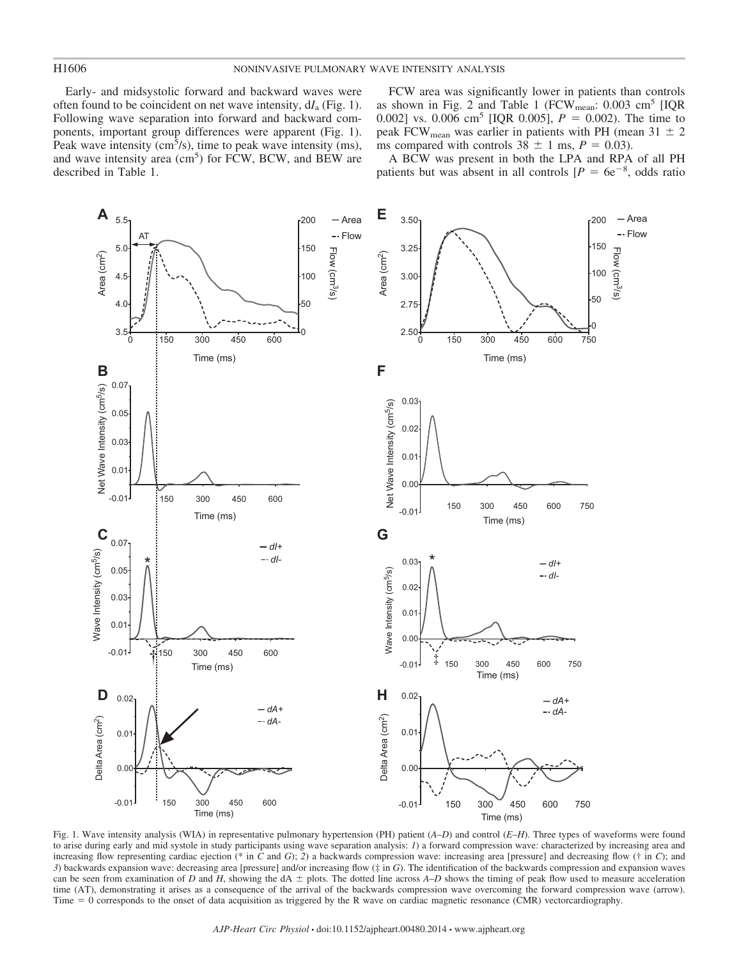Early- and midsystolic forward and backward waves were often found to be coincident on net wave intensity, d*I*<sup>a</sup> (Fig. 1). Following wave separation into forward and backward components, important group differences were apparent (Fig. 1). Peak wave intensity ( $\text{cm}^3$ /s), time to peak wave intensity (ms), and wave intensity area  $\text{(cm}^5\text{)}$  for FCW, BCW, and BEW are described in Table 1.

FCW area was significantly lower in patients than controls as shown in Fig. 2 and Table 1 (FCW<sub>mean</sub>:  $0.003 \text{ cm}^5$  [IQR 0.002] vs. 0.006 cm<sup>5</sup> [IQR 0.005],  $P = 0.002$ ). The time to peak FCW<sub>mean</sub> was earlier in patients with PH (mean 31  $\pm$  2 ms compared with controls  $38 \pm 1$  ms,  $P = 0.03$ ).

A BCW was present in both the LPA and RPA of all PH patients but was absent in all controls  $[P = 6e^{-8},$  odds ratio



Fig. 1. Wave intensity analysis (WIA) in representative pulmonary hypertension (PH) patient (*A*–*D*) and control (*E*–*H*). Three types of waveforms were found to arise during early and mid systole in study participants using wave separation analysis: *1*) a forward compression wave: characterized by increasing area and increasing flow representing cardiac ejection (\* in *C* and *G*); *2*) a backwards compression wave: increasing area [pressure] and decreasing flow († in *C*); and *3*) backwards expansion wave: decreasing area [pressure] and/or increasing flow (‡ in *G*). The identification of the backwards compression and expansion waves can be seen from examination of *D* and *H*, showing the dA  $\pm$  plots. The dotted line across *A–D* shows the timing of peak flow used to measure acceleration time (AT), demonstrating it arises as a consequence of the arrival of the backwards compression wave overcoming the forward compression wave (arrow). Time = 0 corresponds to the onset of data acquisition as triggered by the R wave on cardiac magnetic resonance (CMR) vectorcardiography.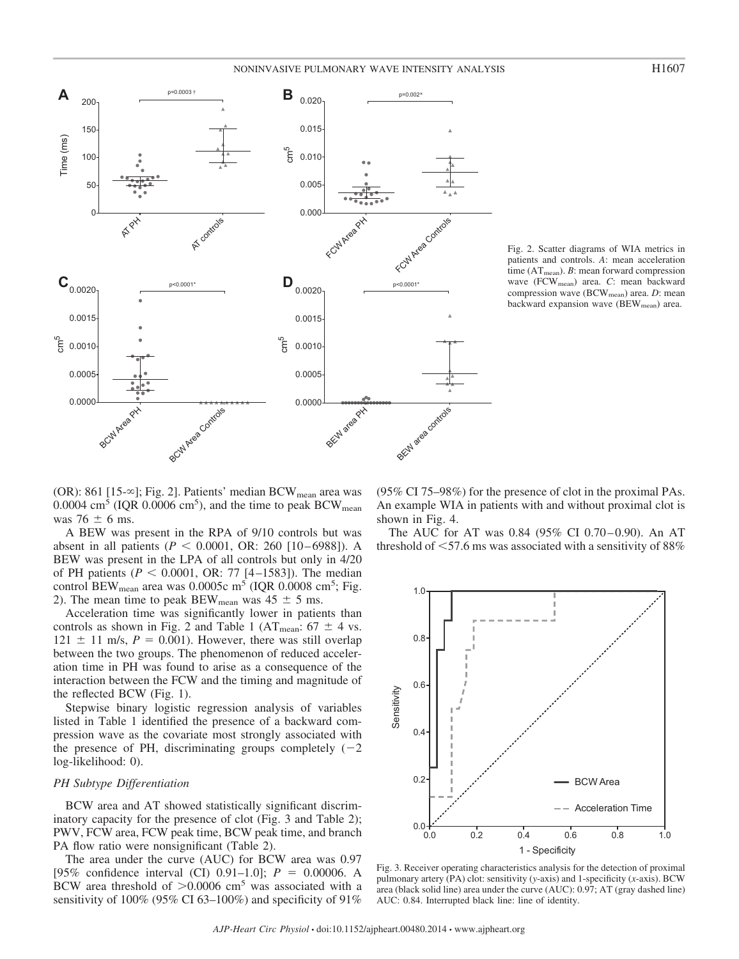

Fig. 2. Scatter diagrams of WIA metrics in patients and controls. *A*: mean acceleration time (AT<sub>mean</sub>). *B*: mean forward compression

wave (FCWmean) area. *C*: mean backward compression wave (BCW<sub>mean</sub>) area. *D*: mean backward expansion wave (BEW<sub>mean</sub>) area.

 $(OR)$ : 861 [15- $\infty$ ]; Fig. 2]. Patients' median BCW<sub>mean</sub> area was 0.0004 cm<sup>5</sup> (IQR 0.0006 cm<sup>5</sup>), and the time to peak BCW<sub>mean</sub> was 76  $\pm$  6 ms.

A BEW was present in the RPA of 9/10 controls but was absent in all patients ( $P < 0.0001$ , OR: 260 [10-6988]). A BEW was present in the LPA of all controls but only in 4/20 of PH patients ( $P < 0.0001$ , OR: 77 [4-1583]). The median control  $BEW_{mean}$  area was 0.0005c m<sup>5</sup> (IQR 0.0008 cm<sup>5</sup>; Fig. 2). The mean time to peak BEW<sub>mean</sub> was  $45 \pm 5$  ms.

Acceleration time was significantly lower in patients than controls as shown in Fig. 2 and Table 1 (AT<sub>mean</sub>:  $67 \pm 4$  vs.  $121 \pm 11$  m/s,  $P = 0.001$ ). However, there was still overlap between the two groups. The phenomenon of reduced acceleration time in PH was found to arise as a consequence of the interaction between the FCW and the timing and magnitude of the reflected BCW (Fig. 1).

Stepwise binary logistic regression analysis of variables listed in Table 1 identified the presence of a backward compression wave as the covariate most strongly associated with the presence of PH, discriminating groups completely  $(-2)$ log-likelihood: 0).

# *PH Subtype Differentiation*

BCW area and AT showed statistically significant discriminatory capacity for the presence of clot (Fig. 3 and Table 2); PWV, FCW area, FCW peak time, BCW peak time, and branch PA flow ratio were nonsignificant (Table 2).

The area under the curve (AUC) for BCW area was 0.97 [95% confidence interval (CI)  $0.91-1.0$ ];  $P = 0.00006$ . A BCW area threshold of  $>0.0006$  cm<sup>5</sup> was associated with a sensitivity of 100% (95% CI 63–100%) and specificity of 91%

(95% CI 75–98%) for the presence of clot in the proximal PAs. An example WIA in patients with and without proximal clot is shown in Fig. 4.

The AUC for AT was  $0.84$  (95% CI 0.70–0.90). An AT threshold of  $\leq 57.6$  ms was associated with a sensitivity of 88%



Fig. 3. Receiver operating characteristics analysis for the detection of proximal pulmonary artery (PA) clot: sensitivity (*y*-axis) and 1-specificity (*x*-axis). BCW area (black solid line) area under the curve (AUC): 0.97; AT (gray dashed line) AUC: 0.84. Interrupted black line: line of identity.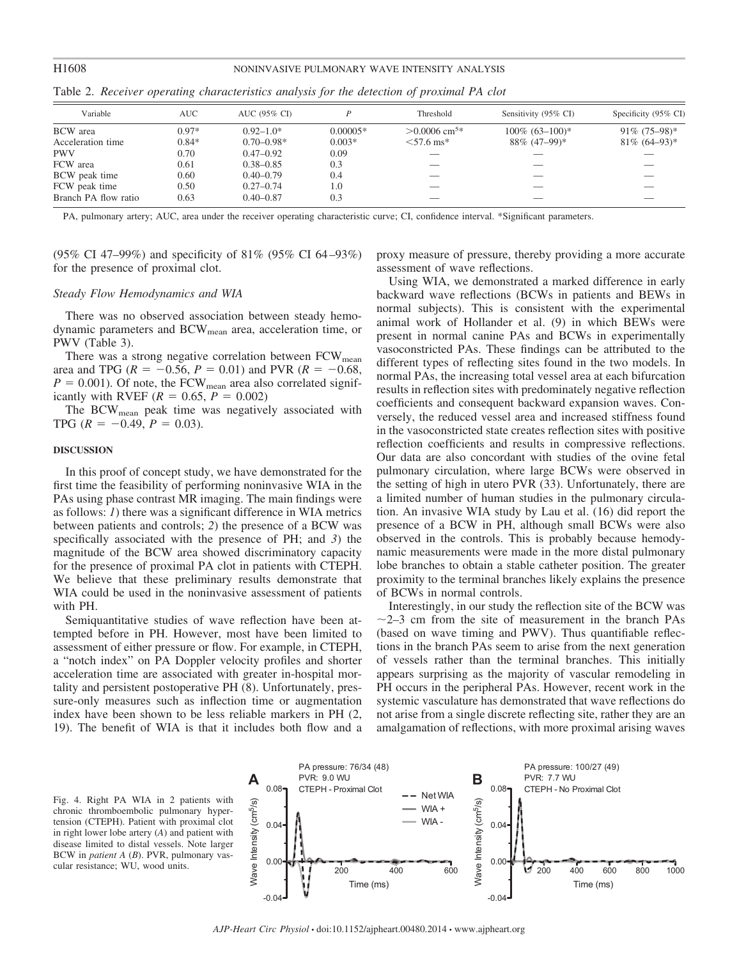# H1608 NONINVASIVE PULMONARY WAVE INTENSITY ANALYSIS

| Variable             | AUC.    | AUC (95% CI)   |            | Threshold                   | Sensitivity (95% CI) | Specificity $(95\% \text{ CI})$ |
|----------------------|---------|----------------|------------|-----------------------------|----------------------|---------------------------------|
| <b>BCW</b> area      | $0.97*$ | $0.92 - 1.0*$  | $0.00005*$ | $> 0.0006$ cm <sup>5*</sup> | $100\%$ $(63-100)*$  | $91\% (75-98)$ *                |
| Acceleration time    | $0.84*$ | $0.70 - 0.98*$ | $0.003*$   | $< 57.6$ ms <sup>*</sup>    | 88\% (47-99)*        | $81\% (64-93)^*$                |
| <b>PWV</b>           | 0.70    | $0.47 - 0.92$  | 0.09       |                             |                      |                                 |
| FCW area             | 0.61    | $0.38 - 0.85$  | 0.3        |                             |                      |                                 |
| BCW peak time        | 0.60    | $0.40 - 0.79$  | 0.4        |                             |                      |                                 |
| FCW peak time        | 0.50    | $0.27 - 0.74$  | 1.0        |                             |                      |                                 |
| Branch PA flow ratio | 0.63    | $0.40 - 0.87$  | 0.3        |                             |                      |                                 |

Table 2. *Receiver operating characteristics analysis for the detection of proximal PA clot*

PA, pulmonary artery; AUC, area under the receiver operating characteristic curve; CI, confidence interval. \*Significant parameters.

(95% CI 47–99%) and specificity of 81% (95% CI 64 –93%) for the presence of proximal clot.

# *Steady Flow Hemodynamics and WIA*

There was no observed association between steady hemodynamic parameters and BCWmean area, acceleration time, or PWV (Table 3).

There was a strong negative correlation between  $FCW_{mean}$ area and TPG ( $R = -0.56$ ,  $P = 0.01$ ) and PVR ( $R = -0.68$ ,  $P = 0.001$ ). Of note, the FCW<sub>mean</sub> area also correlated significantly with RVEF  $(R = 0.65, P = 0.002)$ 

The BCW<sub>mean</sub> peak time was negatively associated with TPG  $(R = -0.49, P = 0.03)$ .

## **DISCUSSION**

In this proof of concept study, we have demonstrated for the first time the feasibility of performing noninvasive WIA in the PAs using phase contrast MR imaging. The main findings were as follows: *1*) there was a significant difference in WIA metrics between patients and controls; *2*) the presence of a BCW was specifically associated with the presence of PH; and *3*) the magnitude of the BCW area showed discriminatory capacity for the presence of proximal PA clot in patients with CTEPH. We believe that these preliminary results demonstrate that WIA could be used in the noninvasive assessment of patients with PH.

Semiquantitative studies of wave reflection have been attempted before in PH. However, most have been limited to assessment of either pressure or flow. For example, in CTEPH, a "notch index" on PA Doppler velocity profiles and shorter acceleration time are associated with greater in-hospital mortality and persistent postoperative PH (8). Unfortunately, pressure-only measures such as inflection time or augmentation index have been shown to be less reliable markers in PH (2, 19). The benefit of WIA is that it includes both flow and a proxy measure of pressure, thereby providing a more accurate assessment of wave reflections.

Using WIA, we demonstrated a marked difference in early backward wave reflections (BCWs in patients and BEWs in normal subjects). This is consistent with the experimental animal work of Hollander et al. (9) in which BEWs were present in normal canine PAs and BCWs in experimentally vasoconstricted PAs. These findings can be attributed to the different types of reflecting sites found in the two models. In normal PAs, the increasing total vessel area at each bifurcation results in reflection sites with predominately negative reflection coefficients and consequent backward expansion waves. Conversely, the reduced vessel area and increased stiffness found in the vasoconstricted state creates reflection sites with positive reflection coefficients and results in compressive reflections. Our data are also concordant with studies of the ovine fetal pulmonary circulation, where large BCWs were observed in the setting of high in utero PVR (33). Unfortunately, there are a limited number of human studies in the pulmonary circulation. An invasive WIA study by Lau et al. (16) did report the presence of a BCW in PH, although small BCWs were also observed in the controls. This is probably because hemodynamic measurements were made in the more distal pulmonary lobe branches to obtain a stable catheter position. The greater proximity to the terminal branches likely explains the presence of BCWs in normal controls.

Interestingly, in our study the reflection site of the BCW was  $\sim$ 2–3 cm from the site of measurement in the branch PAs (based on wave timing and PWV). Thus quantifiable reflections in the branch PAs seem to arise from the next generation of vessels rather than the terminal branches. This initially appears surprising as the majority of vascular remodeling in PH occurs in the peripheral PAs. However, recent work in the systemic vasculature has demonstrated that wave reflections do not arise from a single discrete reflecting site, rather they are an amalgamation of reflections, with more proximal arising waves

PA pressure: 100/27 (49)



Fig. 4. Right PA WIA in 2 patients with chronic thromboembolic pulmonary hypertension (CTEPH). Patient with proximal clot in right lower lobe artery (*A*) and patient with disease limited to distal vessels. Note larger BCW in *patient A* (*B*). PVR, pulmonary vascular resistance; WU, wood units.

PA pressure: 76/34 (48)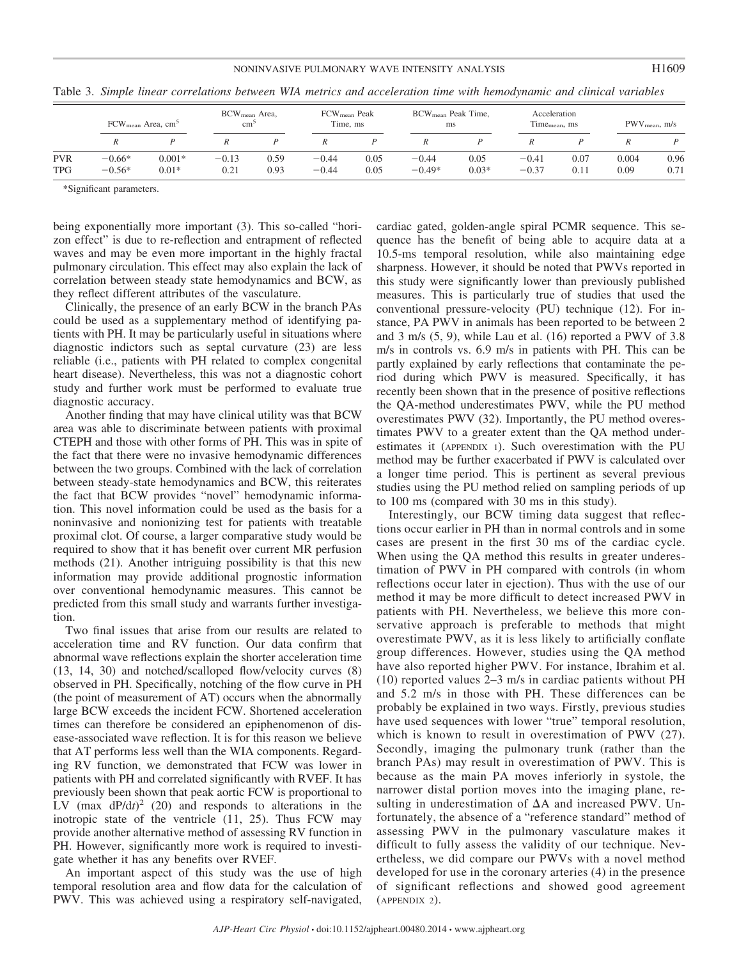# NONINVASIVE PULMONARY WAVE INTENSITY ANALYSIS **H1609**

|            | FCW <sub>mean</sub> Area, cm <sup>5</sup> |                     | BCW <sub>mean</sub> Area,<br>$\text{cm}^3$ |              | FCW <sub>mean</sub> Peak<br>Time, ms |              | BCW <sub>mean</sub> Peak Time,<br>ms |                 | Acceleration<br>Time <sub>mean</sub> , ms |              | $PWV$ <sub>mean</sub> , $m/s$ |              |
|------------|-------------------------------------------|---------------------|--------------------------------------------|--------------|--------------------------------------|--------------|--------------------------------------|-----------------|-------------------------------------------|--------------|-------------------------------|--------------|
|            | R                                         |                     |                                            |              |                                      |              |                                      |                 |                                           |              |                               |              |
| PVR<br>TPG | $-0.66*$<br>$-0.56*$                      | $0.001*$<br>$0.01*$ | $-0.13$<br>0.21                            | 0.59<br>0.93 | $-0.44$<br>$-0.44$                   | 0.05<br>0.05 | $-0.44$<br>$-0.49*$                  | 0.05<br>$0.03*$ | $-0.41$<br>$-0.37$                        | 0.07<br>0.11 | 0.004<br>0.09                 | 0.96<br>0.71 |

Table 3. *Simple linear correlations between WIA metrics and acceleration time with hemodynamic and clinical variables*

\*Significant parameters.

being exponentially more important (3). This so-called "horizon effect" is due to re-reflection and entrapment of reflected waves and may be even more important in the highly fractal pulmonary circulation. This effect may also explain the lack of correlation between steady state hemodynamics and BCW, as they reflect different attributes of the vasculature.

Clinically, the presence of an early BCW in the branch PAs could be used as a supplementary method of identifying patients with PH. It may be particularly useful in situations where diagnostic indictors such as septal curvature (23) are less reliable (i.e., patients with PH related to complex congenital heart disease). Nevertheless, this was not a diagnostic cohort study and further work must be performed to evaluate true diagnostic accuracy.

Another finding that may have clinical utility was that BCW area was able to discriminate between patients with proximal CTEPH and those with other forms of PH. This was in spite of the fact that there were no invasive hemodynamic differences between the two groups. Combined with the lack of correlation between steady-state hemodynamics and BCW, this reiterates the fact that BCW provides "novel" hemodynamic information. This novel information could be used as the basis for a noninvasive and nonionizing test for patients with treatable proximal clot. Of course, a larger comparative study would be required to show that it has benefit over current MR perfusion methods (21). Another intriguing possibility is that this new information may provide additional prognostic information over conventional hemodynamic measures. This cannot be predicted from this small study and warrants further investigation.

Two final issues that arise from our results are related to acceleration time and RV function. Our data confirm that abnormal wave reflections explain the shorter acceleration time (13, 14, 30) and notched/scalloped flow/velocity curves (8) observed in PH. Specifically, notching of the flow curve in PH (the point of measurement of AT) occurs when the abnormally large BCW exceeds the incident FCW. Shortened acceleration times can therefore be considered an epiphenomenon of disease-associated wave reflection. It is for this reason we believe that AT performs less well than the WIA components. Regarding RV function, we demonstrated that FCW was lower in patients with PH and correlated significantly with RVEF. It has previously been shown that peak aortic FCW is proportional to LV  $(max \frac{dP}{dt})^2$  (20) and responds to alterations in the inotropic state of the ventricle (11, 25). Thus FCW may provide another alternative method of assessing RV function in PH. However, significantly more work is required to investigate whether it has any benefits over RVEF.

An important aspect of this study was the use of high temporal resolution area and flow data for the calculation of PWV. This was achieved using a respiratory self-navigated,

cardiac gated, golden-angle spiral PCMR sequence. This sequence has the benefit of being able to acquire data at a 10.5-ms temporal resolution, while also maintaining edge sharpness. However, it should be noted that PWVs reported in this study were significantly lower than previously published measures. This is particularly true of studies that used the conventional pressure-velocity (PU) technique (12). For instance, PA PWV in animals has been reported to be between 2 and 3 m/s (5, 9), while Lau et al. (16) reported a PWV of 3.8 m/s in controls vs. 6.9 m/s in patients with PH. This can be partly explained by early reflections that contaminate the period during which PWV is measured. Specifically, it has recently been shown that in the presence of positive reflections the QA-method underestimates PWV, while the PU method overestimates PWV (32). Importantly, the PU method overestimates PWV to a greater extent than the QA method underestimates it (APPENDIX 1). Such overestimation with the PU method may be further exacerbated if PWV is calculated over a longer time period. This is pertinent as several previous studies using the PU method relied on sampling periods of up to 100 ms (compared with 30 ms in this study).

Interestingly, our BCW timing data suggest that reflections occur earlier in PH than in normal controls and in some cases are present in the first 30 ms of the cardiac cycle. When using the QA method this results in greater underestimation of PWV in PH compared with controls (in whom reflections occur later in ejection). Thus with the use of our method it may be more difficult to detect increased PWV in patients with PH. Nevertheless, we believe this more conservative approach is preferable to methods that might overestimate PWV, as it is less likely to artificially conflate group differences. However, studies using the QA method have also reported higher PWV. For instance, Ibrahim et al. (10) reported values 2–3 m/s in cardiac patients without PH and 5.2 m/s in those with PH. These differences can be probably be explained in two ways. Firstly, previous studies have used sequences with lower "true" temporal resolution, which is known to result in overestimation of PWV (27). Secondly, imaging the pulmonary trunk (rather than the branch PAs) may result in overestimation of PWV. This is because as the main PA moves inferiorly in systole, the narrower distal portion moves into the imaging plane, resulting in underestimation of  $\Delta A$  and increased PWV. Unfortunately, the absence of a "reference standard" method of assessing PWV in the pulmonary vasculature makes it difficult to fully assess the validity of our technique. Nevertheless, we did compare our PWVs with a novel method developed for use in the coronary arteries (4) in the presence of significant reflections and showed good agreement (APPENDIX 2).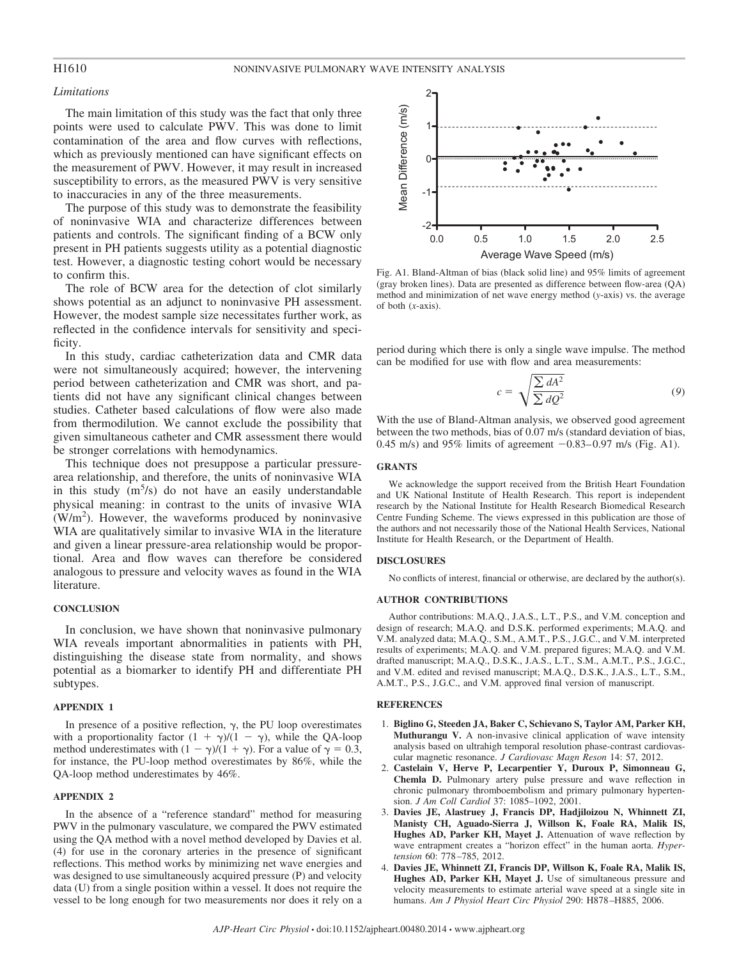# *Limitations*

The main limitation of this study was the fact that only three points were used to calculate PWV. This was done to limit contamination of the area and flow curves with reflections, which as previously mentioned can have significant effects on the measurement of PWV. However, it may result in increased susceptibility to errors, as the measured PWV is very sensitive to inaccuracies in any of the three measurements.

The purpose of this study was to demonstrate the feasibility of noninvasive WIA and characterize differences between patients and controls. The significant finding of a BCW only present in PH patients suggests utility as a potential diagnostic test. However, a diagnostic testing cohort would be necessary to confirm this.

The role of BCW area for the detection of clot similarly shows potential as an adjunct to noninvasive PH assessment. However, the modest sample size necessitates further work, as reflected in the confidence intervals for sensitivity and specificity.

In this study, cardiac catheterization data and CMR data were not simultaneously acquired; however, the intervening period between catheterization and CMR was short, and patients did not have any significant clinical changes between studies. Catheter based calculations of flow were also made from thermodilution. We cannot exclude the possibility that given simultaneous catheter and CMR assessment there would be stronger correlations with hemodynamics.

This technique does not presuppose a particular pressurearea relationship, and therefore, the units of noninvasive WIA in this study  $(m<sup>5</sup>/s)$  do not have an easily understandable physical meaning: in contrast to the units of invasive WIA  $(W/m<sup>2</sup>)$ . However, the waveforms produced by noninvasive WIA are qualitatively similar to invasive WIA in the literature and given a linear pressure-area relationship would be proportional. Area and flow waves can therefore be considered analogous to pressure and velocity waves as found in the WIA literature.

# **CONCLUSION**

In conclusion, we have shown that noninvasive pulmonary WIA reveals important abnormalities in patients with PH, distinguishing the disease state from normality, and shows potential as a biomarker to identify PH and differentiate PH subtypes.

# **APPENDIX 1**

In presence of a positive reflection,  $\gamma$ , the PU loop overestimates with a proportionality factor  $(1 + \gamma)/(1 - \gamma)$ , while the QA-loop method underestimates with  $(1 - \gamma)/(1 + \gamma)$ . For a value of  $\gamma = 0.3$ , for instance, the PU-loop method overestimates by 86%, while the QA-loop method underestimates by 46%.

### **APPENDIX 2**

In the absence of a "reference standard" method for measuring PWV in the pulmonary vasculature, we compared the PWV estimated using the QA method with a novel method developed by Davies et al. (4) for use in the coronary arteries in the presence of significant reflections. This method works by minimizing net wave energies and was designed to use simultaneously acquired pressure (P) and velocity data (U) from a single position within a vessel. It does not require the vessel to be long enough for two measurements nor does it rely on a



Fig. A1. Bland-Altman of bias (black solid line) and 95% limits of agreement (gray broken lines). Data are presented as difference between flow-area (QA) method and minimization of net wave energy method (*y*-axis) vs. the average of both (*x*-axis).

period during which there is only a single wave impulse. The method can be modified for use with flow and area measurements:

$$
c = \sqrt{\frac{\sum dA^2}{\sum dQ^2}} \tag{9}
$$

With the use of Bland-Altman analysis, we observed good agreement between the two methods, bias of 0.07 m/s (standard deviation of bias, 0.45 m/s) and 95% limits of agreement  $-0.83-0.97$  m/s (Fig. A1).

#### **GRANTS**

We acknowledge the support received from the British Heart Foundation and UK National Institute of Health Research. This report is independent research by the National Institute for Health Research Biomedical Research Centre Funding Scheme. The views expressed in this publication are those of the authors and not necessarily those of the National Health Services, National Institute for Health Research, or the Department of Health.

#### **DISCLOSURES**

No conflicts of interest, financial or otherwise, are declared by the author(s).

# **AUTHOR CONTRIBUTIONS**

Author contributions: M.A.Q., J.A.S., L.T., P.S., and V.M. conception and design of research; M.A.Q. and D.S.K. performed experiments; M.A.Q. and V.M. analyzed data; M.A.Q., S.M., A.M.T., P.S., J.G.C., and V.M. interpreted results of experiments; M.A.Q. and V.M. prepared figures; M.A.Q. and V.M. drafted manuscript; M.A.Q., D.S.K., J.A.S., L.T., S.M., A.M.T., P.S., J.G.C., and V.M. edited and revised manuscript; M.A.Q., D.S.K., J.A.S., L.T., S.M., A.M.T., P.S., J.G.C., and V.M. approved final version of manuscript.

#### **REFERENCES**

- 1. **Biglino G, Steeden JA, Baker C, Schievano S, Taylor AM, Parker KH, Muthurangu V.** A non-invasive clinical application of wave intensity analysis based on ultrahigh temporal resolution phase-contrast cardiovascular magnetic resonance. *J Cardiovasc Magn Reson* 14: 57, 2012.
- 2. **Castelain V, Herve P, Lecarpentier Y, Duroux P, Simonneau G, Chemla D.** Pulmonary artery pulse pressure and wave reflection in chronic pulmonary thromboembolism and primary pulmonary hypertension. *J Am Coll Cardiol* 37: 1085–1092, 2001.
- 3. **Davies JE, Alastruey J, Francis DP, Hadjiloizou N, Whinnett ZI, Manisty CH, Aguado-Sierra J, Willson K, Foale RA, Malik IS, Hughes AD, Parker KH, Mayet J.** Attenuation of wave reflection by wave entrapment creates a "horizon effect" in the human aorta. *Hypertension* 60: 778 –785, 2012.
- 4. **Davies JE, Whinnett ZI, Francis DP, Willson K, Foale RA, Malik IS, Hughes AD, Parker KH, Mayet J.** Use of simultaneous pressure and velocity measurements to estimate arterial wave speed at a single site in humans. *Am J Physiol Heart Circ Physiol* 290: H878 –H885, 2006.